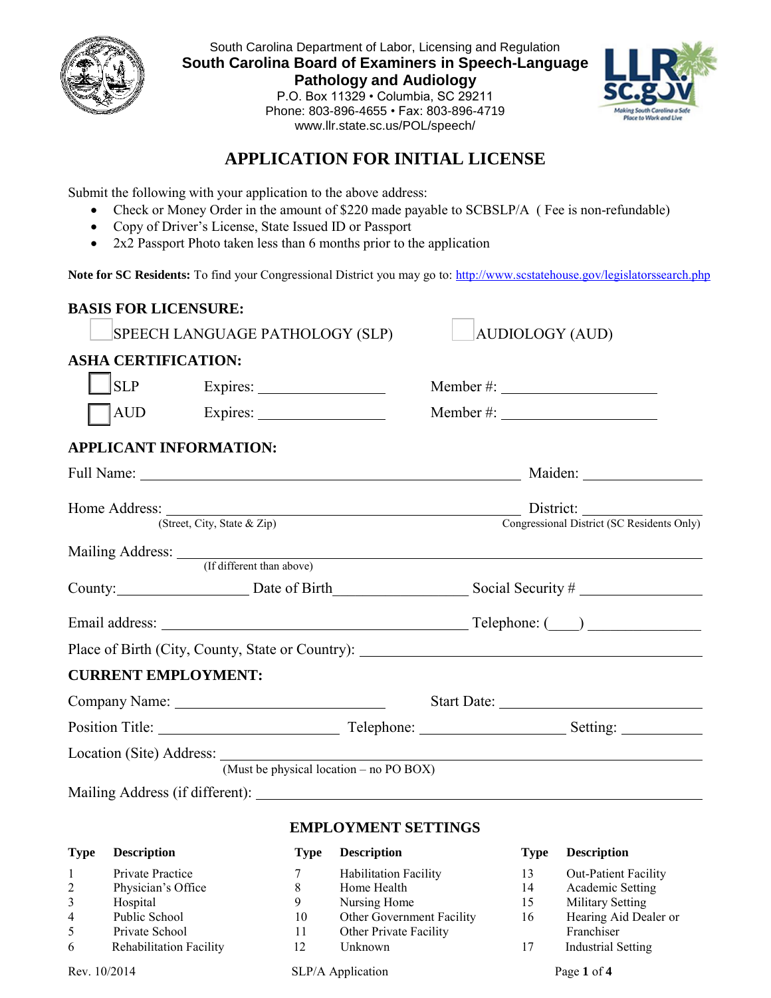

South Carolina Department of Labor, Licensing and Regulation **South Carolina Board of Examiners in Speech-Language Pathology and Audiology**  P.O. Box 11329 • Columbia, SC 29211 Phone: 803-896-4655 • Fax: 803-896-4719



# **APPLICATION FOR INITIAL LICENSE**

www.llr.state.sc.us/POL/speech/

Submit the following with your application to the above address:

- Check or Money Order in the amount of \$220 made payable to SCBSLP/A (Fee is non-refundable)
- Copy of Driver's License, State Issued ID or Passport
- 2x2 Passport Photo taken less than 6 months prior to the application

Note for SC Residents: To find your Congressional District you may go to:<http://www.scstatehouse.gov/legislatorssearch.php>

| <b>BASIS FOR LICENSURE:</b>                                                      |                                 |                                                                         |                                            |                                                                                                                                                                                                                                                                                                                                    |
|----------------------------------------------------------------------------------|---------------------------------|-------------------------------------------------------------------------|--------------------------------------------|------------------------------------------------------------------------------------------------------------------------------------------------------------------------------------------------------------------------------------------------------------------------------------------------------------------------------------|
|                                                                                  | SPEECH LANGUAGE PATHOLOGY (SLP) |                                                                         | <b>AUDIOLOGY (AUD)</b>                     |                                                                                                                                                                                                                                                                                                                                    |
| <b>ASHA CERTIFICATION:</b>                                                       |                                 |                                                                         |                                            |                                                                                                                                                                                                                                                                                                                                    |
| SLP                                                                              |                                 |                                                                         |                                            |                                                                                                                                                                                                                                                                                                                                    |
|                                                                                  |                                 |                                                                         | Member #: $\frac{1}{2}$ Member #:          |                                                                                                                                                                                                                                                                                                                                    |
| <b>APPLICANT INFORMATION:</b>                                                    |                                 |                                                                         |                                            |                                                                                                                                                                                                                                                                                                                                    |
|                                                                                  |                                 |                                                                         |                                            |                                                                                                                                                                                                                                                                                                                                    |
|                                                                                  |                                 |                                                                         |                                            | Home Address: District: District: District: City, State & Zip) District: Congressional District (SC Residents Only)                                                                                                                                                                                                                |
|                                                                                  |                                 |                                                                         |                                            |                                                                                                                                                                                                                                                                                                                                    |
|                                                                                  |                                 |                                                                         | Mailing Address: (If different than above) |                                                                                                                                                                                                                                                                                                                                    |
|                                                                                  |                                 |                                                                         |                                            | County: Date of Birth Social Security #                                                                                                                                                                                                                                                                                            |
|                                                                                  |                                 |                                                                         |                                            |                                                                                                                                                                                                                                                                                                                                    |
|                                                                                  |                                 |                                                                         |                                            |                                                                                                                                                                                                                                                                                                                                    |
| <b>CURRENT EMPLOYMENT:</b>                                                       |                                 |                                                                         |                                            |                                                                                                                                                                                                                                                                                                                                    |
|                                                                                  |                                 |                                                                         |                                            |                                                                                                                                                                                                                                                                                                                                    |
|                                                                                  |                                 |                                                                         |                                            |                                                                                                                                                                                                                                                                                                                                    |
|                                                                                  |                                 |                                                                         |                                            | (Must be physical location – no PO BOX)                                                                                                                                                                                                                                                                                            |
|                                                                                  |                                 |                                                                         |                                            |                                                                                                                                                                                                                                                                                                                                    |
|                                                                                  |                                 | <b>EMPLOYMENT SETTINGS</b>                                              |                                            |                                                                                                                                                                                                                                                                                                                                    |
| <b>Type Description</b>                                                          |                                 | <b>Type Description</b>                                                 |                                            | <b>Type Description</b>                                                                                                                                                                                                                                                                                                            |
| $\mathbf{D}$ and $\mathbf{D}$ and $\mathbf{D}$ are $\mathbf{D}$ and $\mathbf{D}$ |                                 | $\sigma$ and $\sigma$ is the state of $\sigma$ is the state of $\sigma$ |                                            | $\mathbf{A}$ $\mathbf{A}$ $\mathbf{A}$ $\mathbf{B}$ $\mathbf{A}$ $\mathbf{B}$ $\mathbf{A}$ $\mathbf{B}$ $\mathbf{A}$ $\mathbf{B}$ $\mathbf{A}$ $\mathbf{B}$ $\mathbf{A}$ $\mathbf{B}$ $\mathbf{A}$ $\mathbf{B}$ $\mathbf{A}$ $\mathbf{B}$ $\mathbf{A}$ $\mathbf{B}$ $\mathbf{A}$ $\mathbf{B}$ $\mathbf{A}$ $\mathbf{B}$ $\mathbf{$ |

|                | Rev. 10/2014                   |    | SLP/A Application            |    | Page 1 of 4                 |
|----------------|--------------------------------|----|------------------------------|----|-----------------------------|
| 6              | <b>Rehabilitation Facility</b> | 12 | Unknown                      | 17 | Industrial Setting          |
| 5              | Private School                 | 11 | Other Private Facility       |    | Franchiser                  |
| $\overline{4}$ | Public School                  | 10 | Other Government Facility    | 16 | Hearing Aid Dealer or       |
| 3              | Hospital                       | 9  | Nursing Home                 | 15 | Military Setting            |
| $\overline{2}$ | Physician's Office             | 8  | Home Health                  | 14 | Academic Setting            |
|                | Private Practice               |    | <b>Habilitation Facility</b> | 13 | <b>Out-Patient Facility</b> |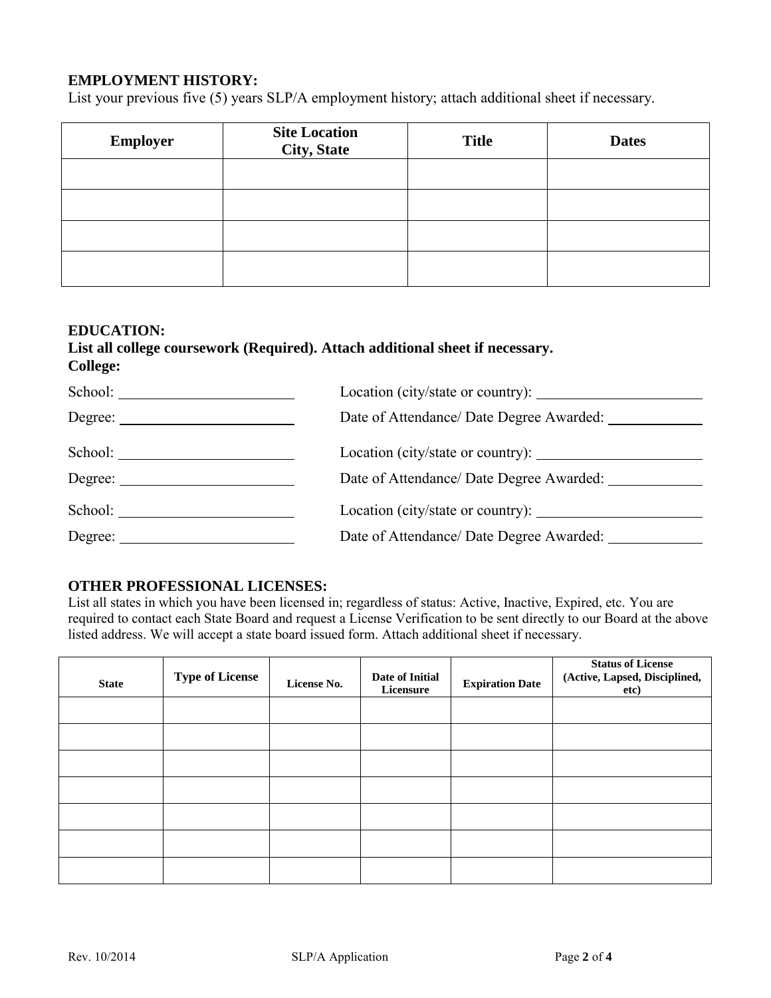# **EMPLOYMENT HISTORY:**

List your previous five (5) years SLP/A employment history; attach additional sheet if necessary.

| <b>Employer</b> | <b>Site Location</b><br><b>City, State</b> | <b>Title</b> | <b>Dates</b> |
|-----------------|--------------------------------------------|--------------|--------------|
|                 |                                            |              |              |
|                 |                                            |              |              |
|                 |                                            |              |              |
|                 |                                            |              |              |

#### **EDUCATION:**

## **List all college coursework (Required). Attach additional sheet if necessary. College:**

| School: |                                                        |
|---------|--------------------------------------------------------|
| Degree: | Date of Attendance/ Date Degree Awarded: _____________ |
|         |                                                        |
| Degree: | Date of Attendance/ Date Degree Awarded:               |

# **OTHER PROFESSIONAL LICENSES:**

List all states in which you have been licensed in; regardless of status: Active, Inactive, Expired, etc. You are required to contact each State Board and request a License Verification to be sent directly to our Board at the above listed address. We will accept a state board issued form. Attach additional sheet if necessary.

| <b>State</b> | <b>Type of License</b> | License No. | Date of Initial<br>Licensure | <b>Expiration Date</b> | <b>Status of License</b><br>(Active, Lapsed, Disciplined,<br>etc) |
|--------------|------------------------|-------------|------------------------------|------------------------|-------------------------------------------------------------------|
|              |                        |             |                              |                        |                                                                   |
|              |                        |             |                              |                        |                                                                   |
|              |                        |             |                              |                        |                                                                   |
|              |                        |             |                              |                        |                                                                   |
|              |                        |             |                              |                        |                                                                   |
|              |                        |             |                              |                        |                                                                   |
|              |                        |             |                              |                        |                                                                   |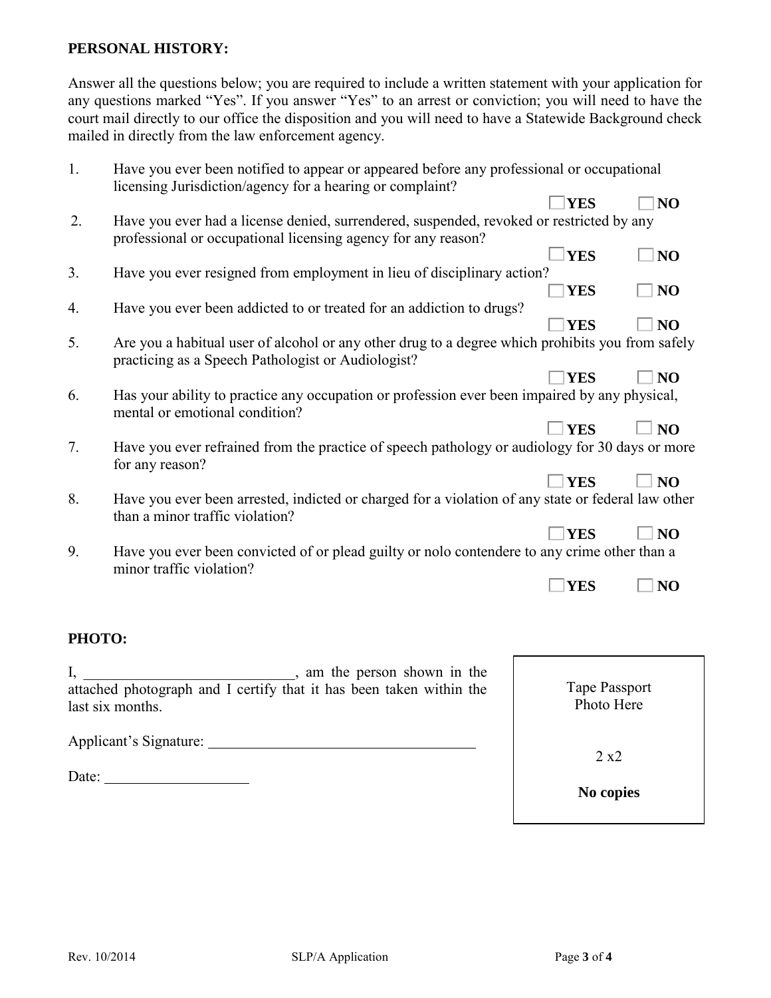# **PERSONAL HISTORY:**

Answer all the questions below; you are required to include a written statement with your application for any questions marked "Yes". If you answer "Yes" to an arrest or conviction; you will need to have the court mail directly to our office the disposition and you will need to have a Statewide Background check mailed in directly from the law enforcement agency.

| 1.     | Have you ever been notified to appear or appeared before any professional or occupational<br>licensing Jurisdiction/agency for a hearing or complaint?    |               |                             |
|--------|-----------------------------------------------------------------------------------------------------------------------------------------------------------|---------------|-----------------------------|
|        |                                                                                                                                                           | <b>YES</b>    | N <sub>O</sub>              |
| 2.     | Have you ever had a license denied, surrendered, suspended, revoked or restricted by any<br>professional or occupational licensing agency for any reason? |               |                             |
|        |                                                                                                                                                           | <b>YES</b>    | N <sub>O</sub>              |
| 3.     | Have you ever resigned from employment in lieu of disciplinary action?                                                                                    | <b>YES</b>    | N <sub>O</sub>              |
| 4.     | Have you ever been addicted to or treated for an addiction to drugs?                                                                                      | <b>YES</b>    | N <sub>O</sub>              |
| 5.     | Are you a habitual user of alcohol or any other drug to a degree which prohibits you from safely<br>practicing as a Speech Pathologist or Audiologist?    |               |                             |
|        |                                                                                                                                                           | <b>YES</b>    | N <sub>O</sub>              |
| 6.     | Has your ability to practice any occupation or profession ever been impaired by any physical,<br>mental or emotional condition?                           |               |                             |
|        |                                                                                                                                                           | <b>YES</b>    | $\overline{\phantom{a}}$ NO |
| 7.     | Have you ever refrained from the practice of speech pathology or audiology for 30 days or more<br>for any reason?                                         |               |                             |
|        |                                                                                                                                                           | <b>YES</b>    | $\overline{\phantom{a}}$ NO |
| 8.     | Have you ever been arrested, indicted or charged for a violation of any state or federal law other<br>than a minor traffic violation?                     |               |                             |
|        |                                                                                                                                                           | <b>YES</b>    | N <sub>O</sub>              |
| 9.     | Have you ever been convicted of or plead guilty or nolo contendere to any crime other than a<br>minor traffic violation?                                  |               |                             |
|        |                                                                                                                                                           | <b>YES</b>    | N <sub>O</sub>              |
|        |                                                                                                                                                           |               |                             |
| PHOTO: |                                                                                                                                                           |               |                             |
|        | , am the person shown in the                                                                                                                              |               |                             |
|        | attached photograph and I certify that it has been taken within the                                                                                       | Tape Passport |                             |
|        | last six months.                                                                                                                                          | Photo Here    |                             |
|        | Applicant's Signature:                                                                                                                                    |               |                             |
|        |                                                                                                                                                           | 2 x2          |                             |
| Date:  |                                                                                                                                                           | No copies     |                             |
|        |                                                                                                                                                           |               |                             |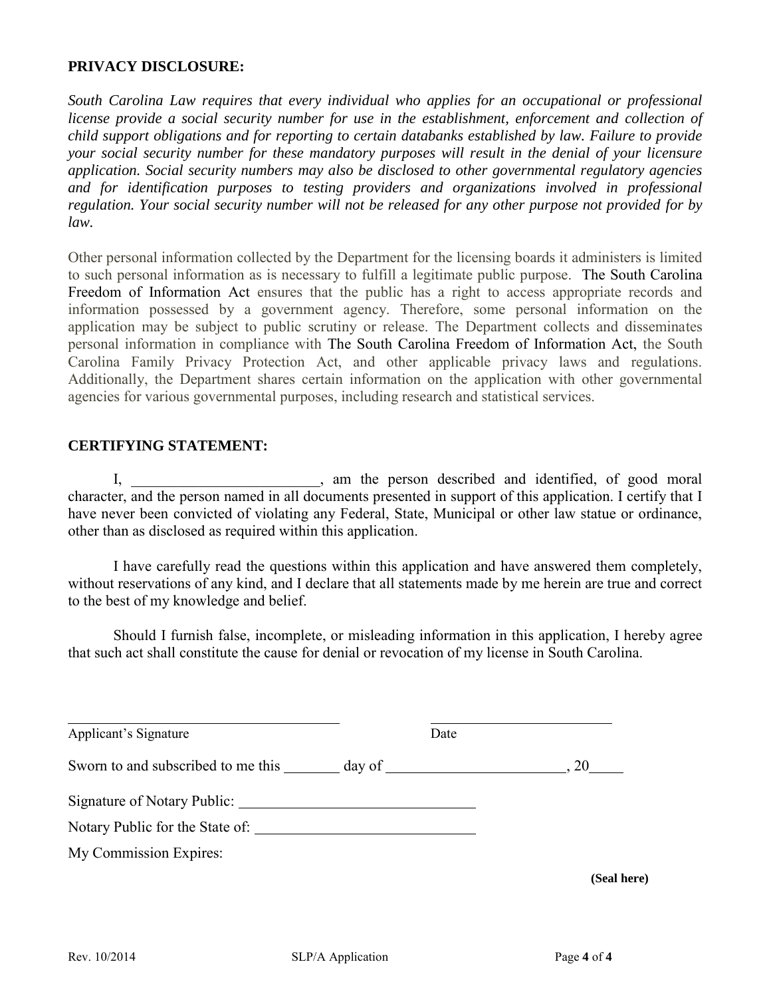# **PRIVACY DISCLOSURE:**

*South Carolina Law requires that every individual who applies for an occupational or professional license provide a social security number for use in the establishment, enforcement and collection of child support obligations and for reporting to certain databanks established by law. Failure to provide your social security number for these mandatory purposes will result in the denial of your licensure application. Social security numbers may also be disclosed to other governmental regulatory agencies and for identification purposes to testing providers and organizations involved in professional regulation. Your social security number will not be released for any other purpose not provided for by law.* 

Other personal information collected by the Department for the licensing boards it administers is limited to such personal information as is necessary to fulfill a legitimate public purpose. The South Carolina Freedom of Information Act ensures that the public has a right to access appropriate records and information possessed by a government agency. Therefore, some personal information on the application may be subject to public scrutiny or release. The Department collects and disseminates personal information in compliance with The South Carolina Freedom of Information Act, the South Carolina Family Privacy Protection Act, and other applicable privacy laws and regulations. Additionally, the Department shares certain information on the application with other governmental agencies for various governmental purposes, including research and statistical services.

## **CERTIFYING STATEMENT:**

I, \_\_\_\_\_\_\_\_\_\_\_\_\_\_\_\_\_\_\_\_\_, am the person described and identified, of good moral character, and the person named in all documents presented in support of this application. I certify that I have never been convicted of violating any Federal, State, Municipal or other law statue or ordinance, other than as disclosed as required within this application.

I have carefully read the questions within this application and have answered them completely, without reservations of any kind, and I declare that all statements made by me herein are true and correct to the best of my knowledge and belief.

Should I furnish false, incomplete, or misleading information in this application, I hereby agree that such act shall constitute the cause for denial or revocation of my license in South Carolina.

| Applicant's Signature                                                             | Date |             |
|-----------------------------------------------------------------------------------|------|-------------|
| Sworn to and subscribed to me this _______ day of _______________________________ |      | $\sim 20$   |
|                                                                                   |      |             |
| Notary Public for the State of:                                                   |      |             |
| My Commission Expires:                                                            |      |             |
|                                                                                   |      | (Seal here) |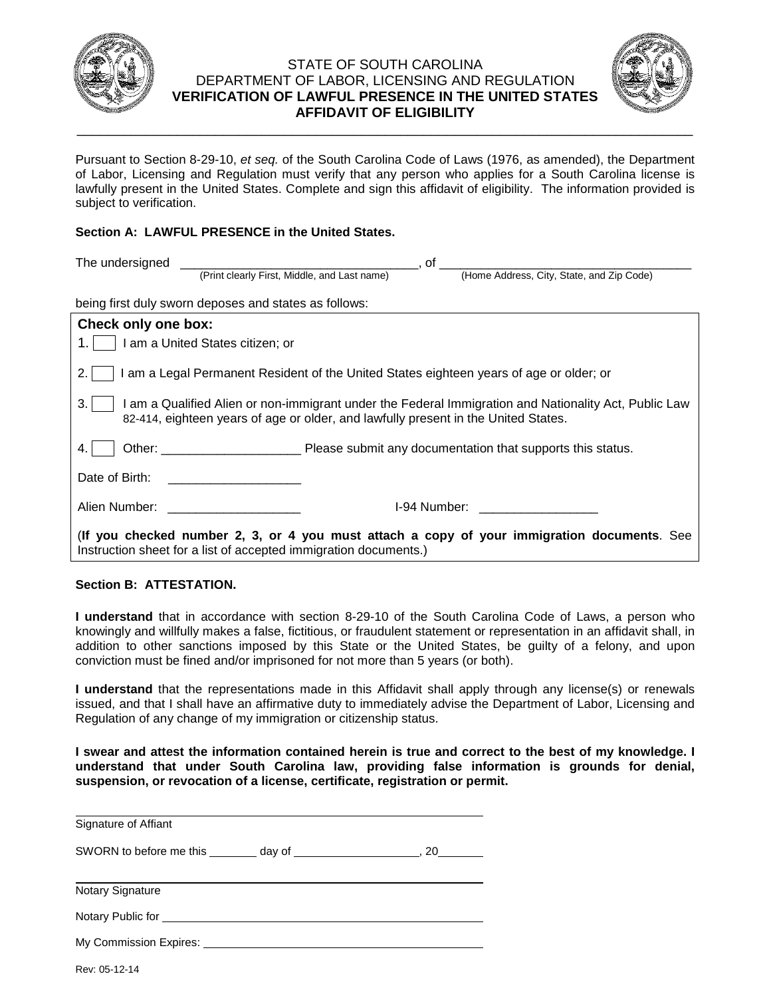

### STATE OF SOUTH CAROLINA DEPARTMENT OF LABOR, LICENSING AND REGULATION **VERIFICATION OF LAWFUL PRESENCE IN THE UNITED STATES AFFIDAVIT OF ELIGIBILITY**

\_\_\_\_\_\_\_\_\_\_\_\_\_\_\_\_\_\_\_\_\_\_\_\_\_\_\_\_\_\_\_\_\_\_\_\_\_\_\_\_\_\_\_\_\_\_\_\_\_\_\_\_\_\_\_\_\_\_\_\_\_\_\_\_\_\_\_\_\_\_\_\_\_\_\_\_\_\_\_\_



Pursuant to Section 8-29-10, *et seq.* of the South Carolina Code of Laws (1976, as amended), the Department of Labor, Licensing and Regulation must verify that any person who applies for a South Carolina license is lawfully present in the United States. Complete and sign this affidavit of eligibility. The information provided is subject to verification.

### **Section A: LAWFUL PRESENCE in the United States.**

| The undersigned     | _, of _                                                          |  |                                                                                                                                                                                             |  |  |  |
|---------------------|------------------------------------------------------------------|--|---------------------------------------------------------------------------------------------------------------------------------------------------------------------------------------------|--|--|--|
|                     | (Print clearly First, Middle, and Last name)                     |  | (Home Address, City, State, and Zip Code)                                                                                                                                                   |  |  |  |
|                     | being first duly sworn deposes and states as follows:            |  |                                                                                                                                                                                             |  |  |  |
| Check only one box: |                                                                  |  |                                                                                                                                                                                             |  |  |  |
|                     | I am a United States citizen; or                                 |  |                                                                                                                                                                                             |  |  |  |
|                     |                                                                  |  | I am a Legal Permanent Resident of the United States eighteen years of age or older; or                                                                                                     |  |  |  |
| 3.                  |                                                                  |  | I am a Qualified Alien or non-immigrant under the Federal Immigration and Nationality Act, Public Law<br>82-414, eighteen years of age or older, and lawfully present in the United States. |  |  |  |
|                     |                                                                  |  |                                                                                                                                                                                             |  |  |  |
| Date of Birth:      |                                                                  |  |                                                                                                                                                                                             |  |  |  |
| Alien Number:       |                                                                  |  | I-94 Number: International Section of the Section of the Section of the Section of the Section of the Section o                                                                             |  |  |  |
|                     | Instruction sheet for a list of accepted immigration documents.) |  | (If you checked number 2, 3, or 4 you must attach a copy of your immigration documents. See                                                                                                 |  |  |  |

#### **Section B: ATTESTATION.**

**I understand** that in accordance with section 8-29-10 of the South Carolina Code of Laws, a person who knowingly and willfully makes a false, fictitious, or fraudulent statement or representation in an affidavit shall, in addition to other sanctions imposed by this State or the United States, be guilty of a felony, and upon conviction must be fined and/or imprisoned for not more than 5 years (or both).

**I understand** that the representations made in this Affidavit shall apply through any license(s) or renewals issued, and that I shall have an affirmative duty to immediately advise the Department of Labor, Licensing and Regulation of any change of my immigration or citizenship status.

**I swear and attest the information contained herein is true and correct to the best of my knowledge. I understand that under South Carolina law, providing false information is grounds for denial, suspension, or revocation of a license, certificate, registration or permit.** 

| Signature of Affiant                                                                                                                                                                                                                 |  |
|--------------------------------------------------------------------------------------------------------------------------------------------------------------------------------------------------------------------------------------|--|
|                                                                                                                                                                                                                                      |  |
|                                                                                                                                                                                                                                      |  |
| <b>Notary Signature</b>                                                                                                                                                                                                              |  |
| Notary Public for <u>example and the set of the set of the set of the set of the set of the set of the set of the set of the set of the set of the set of the set of the set of the set of the set of the set of the set of the </u> |  |
|                                                                                                                                                                                                                                      |  |
|                                                                                                                                                                                                                                      |  |